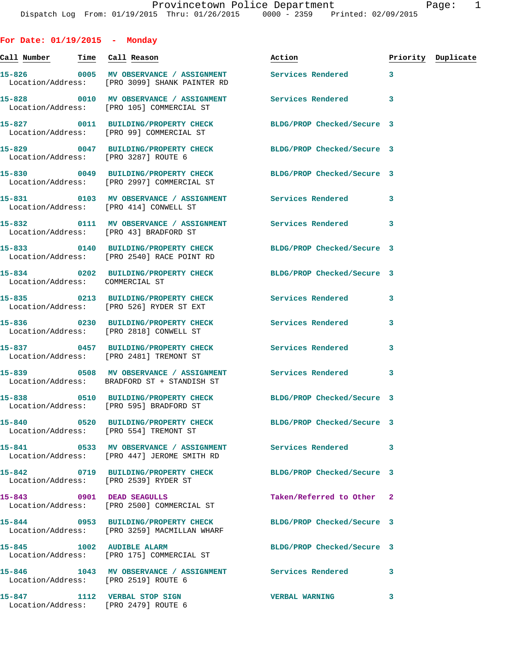**For Date: 01/19/2015 - Monday**

**Call Number Time Call Reason Action Priority Duplicate 15-826 0005 MV OBSERVANCE / ASSIGNMENT Services Rendered 3**  Location/Address: [PRO 3099] SHANK PAINTER RD **15-828 0010 MV OBSERVANCE / ASSIGNMENT Services Rendered 3**  Location/Address: [PRO 105] COMMERCIAL ST **15-827 0011 BUILDING/PROPERTY CHECK BLDG/PROP Checked/Secure 3**  Location/Address: [PRO 99] COMMERCIAL ST **15-829 0047 BUILDING/PROPERTY CHECK BLDG/PROP Checked/Secure 3**  Location/Address: [PRO 3287] ROUTE 6 **15-830 0049 BUILDING/PROPERTY CHECK BLDG/PROP Checked/Secure 3**  Location/Address: [PRO 2997] COMMERCIAL ST **15-831 0103 MV OBSERVANCE / ASSIGNMENT Services Rendered 3**  Location/Address: [PRO 414] CONWELL ST **15-832 0111 MV OBSERVANCE / ASSIGNMENT Services Rendered 3**  Location/Address: [PRO 43] BRADFORD ST **15-833 0140 BUILDING/PROPERTY CHECK BLDG/PROP Checked/Secure 3**  Location/Address: [PRO 2540] RACE POINT RD **15-834 0202 BUILDING/PROPERTY CHECK BLDG/PROP Checked/Secure 3**  Location/Address: COMMERCIAL ST **15-835 0213 BUILDING/PROPERTY CHECK Services Rendered 3**  Location/Address: [PRO 526] RYDER ST EXT **15-836 0230 BUILDING/PROPERTY CHECK Services Rendered 3**  Location/Address: [PRO 2818] CONWELL ST **15-837 0457 BUILDING/PROPERTY CHECK Services Rendered 3**  Location/Address: [PRO 2481] TREMONT ST **15-839 0508 MV OBSERVANCE / ASSIGNMENT Services Rendered 3**  Location/Address: BRADFORD ST + STANDISH ST **15-838 0510 BUILDING/PROPERTY CHECK BLDG/PROP Checked/Secure 3**  Location/Address: [PRO 595] BRADFORD ST **15-840 0520 BUILDING/PROPERTY CHECK BLDG/PROP Checked/Secure 3**  Location/Address: [PRO 554] TREMONT ST **15-841 0533 MV OBSERVANCE / ASSIGNMENT Services Rendered 3**  Location/Address: [PRO 447] JEROME SMITH RD **15-842 0719 BUILDING/PROPERTY CHECK BLDG/PROP Checked/Secure 3**  Location/Address: [PRO 2539] RYDER ST **15-843 0901 DEAD SEAGULLS Taken/Referred to Other 2**  Location/Address: [PRO 2500] COMMERCIAL ST **15-844 0953 BUILDING/PROPERTY CHECK BLDG/PROP Checked/Secure 3**  Location/Address: [PRO 3259] MACMILLAN WHARF **15-845 1002 AUDIBLE ALARM BLDG/PROP Checked/Secure 3**  Location/Address: [PRO 175] COMMERCIAL ST **15-846 1043 MV OBSERVANCE / ASSIGNMENT Services Rendered 3**  Location/Address: [PRO 2519] ROUTE 6 **15-847 1112 VERBAL STOP SIGN VERBAL WARNING 3**  Location/Address: [PRO 2479] ROUTE 6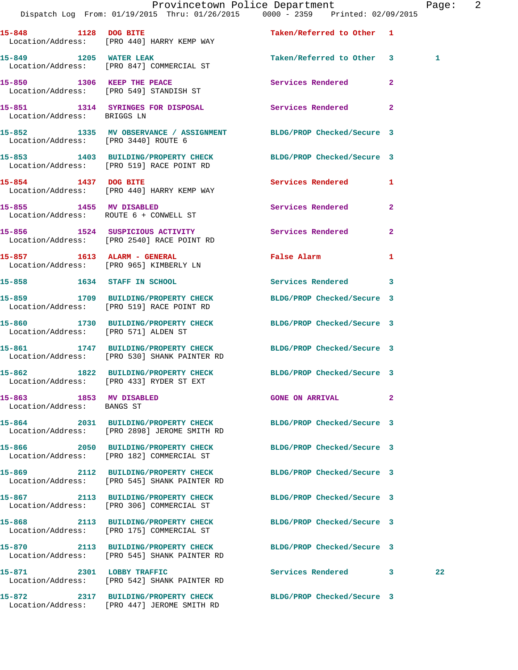|                                                       | Dispatch Log From: 01/19/2015 Thru: 01/26/2015 0000 - 2359 Printed: 02/09/2015                                 | Provincetown Police Department              | Page: 2         |
|-------------------------------------------------------|----------------------------------------------------------------------------------------------------------------|---------------------------------------------|-----------------|
|                                                       |                                                                                                                |                                             |                 |
| 15-848 1128 DOG BITE                                  | Location/Address: [PRO 440] HARRY KEMP WAY                                                                     | Taken/Referred to Other 1                   |                 |
| 15-849 1205 WATER LEAK                                | Location/Address: [PRO 847] COMMERCIAL ST                                                                      | Taken/Referred to Other 3                   | 1               |
|                                                       | 15-850 1306 KEEP THE PEACE<br>Location/Address: [PRO 549] STANDISH ST                                          | Services Rendered                           | $\mathbf{2}$    |
| Location/Address: BRIGGS LN                           | 15-851 1314 SYRINGES FOR DISPOSAL Services Rendered 2                                                          |                                             |                 |
| Location/Address: [PRO 3440] ROUTE 6                  | 15-852 1335 MV OBSERVANCE / ASSIGNMENT BLDG/PROP Checked/Secure 3                                              |                                             |                 |
|                                                       | 15-853 1403 BUILDING/PROPERTY CHECK BLDG/PROP Checked/Secure 3<br>Location/Address: [PRO 519] RACE POINT RD    |                                             |                 |
|                                                       | 15-854 1437 DOG BITE<br>Location/Address: [PRO 440] HARRY KEMP WAY                                             | Services Rendered 1                         |                 |
|                                                       | 15-855 1455 MV DISABLED<br>Location/Address: ROUTE 6 + CONWELL ST                                              | Services Rendered                           | $\mathbf{2}$    |
|                                                       | 15-856 1524 SUSPICIOUS ACTIVITY<br>Location/Address: [PRO 2540] RACE POINT RD                                  | Services Rendered 2                         |                 |
|                                                       | 15-857 1613 ALARM - GENERAL<br>Location/Address: [PRO 965] KIMBERLY LN                                         | False Alarm <b>Exercise Service Service</b> | 1               |
|                                                       | 15-858 1634 STAFF IN SCHOOL                                                                                    | Services Rendered 3                         |                 |
|                                                       | 15-859 1709 BUILDING/PROPERTY CHECK<br>Location/Address: [PRO 519] RACE POINT RD                               | BLDG/PROP Checked/Secure 3                  |                 |
| Location/Address: [PRO 571] ALDEN ST                  | 15-860 1730 BUILDING/PROPERTY CHECK BLDG/PROP Checked/Secure 3                                                 |                                             |                 |
|                                                       | 15-861 1747 BUILDING/PROPERTY CHECK BLDG/PROP Checked/Secure 3<br>Location/Address: [PRO 530] SHANK PAINTER RD |                                             |                 |
|                                                       | 15-862 1822 BUILDING/PROPERTY CHECK BLDG/PROP Checked/Secure 3<br>Location/Address: [PRO 433] RYDER ST EXT     |                                             |                 |
| 15-863 1853 MV DISABLED<br>Location/Address: BANGS ST |                                                                                                                | GONE ON ARRIVAL 2                           |                 |
|                                                       | 15-864 2031 BUILDING/PROPERTY CHECK<br>Location/Address: [PRO 2898] JEROME SMITH RD                            | BLDG/PROP Checked/Secure 3                  |                 |
|                                                       | 15-866 2050 BUILDING/PROPERTY CHECK BLDG/PROP Checked/Secure 3<br>Location/Address: [PRO 182] COMMERCIAL ST    |                                             |                 |
|                                                       | 15-869 2112 BUILDING/PROPERTY CHECK<br>Location/Address: [PRO 545] SHANK PAINTER RD                            | BLDG/PROP Checked/Secure 3                  |                 |
|                                                       | 15-867 2113 BUILDING/PROPERTY CHECK BLDG/PROP Checked/Secure 3<br>Location/Address: [PRO 306] COMMERCIAL ST    |                                             |                 |
|                                                       | 15-868 2113 BUILDING/PROPERTY CHECK<br>Location/Address: [PRO 175] COMMERCIAL ST                               | BLDG/PROP Checked/Secure 3                  |                 |
|                                                       | 15-870 2113 BUILDING/PROPERTY CHECK<br>Location/Address: [PRO 545] SHANK PAINTER RD                            | BLDG/PROP Checked/Secure 3                  |                 |
|                                                       | 15-871 2301 LOBBY TRAFFIC<br>Location/Address: [PRO 542] SHANK PAINTER RD                                      | Services Rendered 3                         | 22 <sub>1</sub> |
|                                                       | 15-872 2317 BUILDING/PROPERTY CHECK BLDG/PROP Checked/Secure 3<br>Location/Address: [PRO 447] JEROME SMITH RD  |                                             |                 |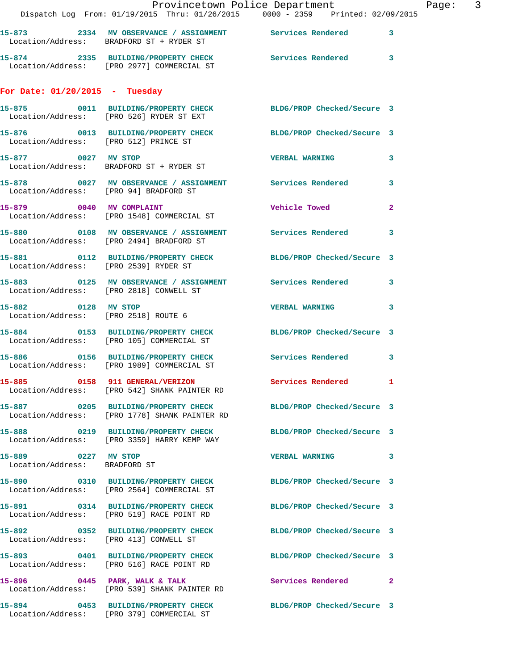|                                                      | Provincetown Police Department                                                                                  |                       | Page: 3      |
|------------------------------------------------------|-----------------------------------------------------------------------------------------------------------------|-----------------------|--------------|
|                                                      | 15-873 2334 MV OBSERVANCE / ASSIGNMENT Services Rendered 3<br>Location/Address: BRADFORD ST + RYDER ST          |                       |              |
|                                                      | 15-874 2335 BUILDING/PROPERTY CHECK Services Rendered 3<br>Location/Address: [PRO 2977] COMMERCIAL ST           |                       |              |
| For Date: $01/20/2015$ - Tuesday                     |                                                                                                                 |                       |              |
|                                                      | 15-875 0011 BUILDING/PROPERTY CHECK BLDG/PROP Checked/Secure 3<br>Location/Address: [PRO 526] RYDER ST EXT      |                       |              |
| Location/Address: [PRO 512] PRINCE ST                | 15-876 0013 BUILDING/PROPERTY CHECK BLDG/PROP Checked/Secure 3                                                  |                       |              |
| 15-877 0027 MV STOP                                  | Location/Address: BRADFORD ST + RYDER ST                                                                        | VERBAL WARNING 3      |              |
| Location/Address: [PRO 94] BRADFORD ST               | 15-878 0027 MV OBSERVANCE / ASSIGNMENT Services Rendered                                                        |                       | $\mathbf{3}$ |
|                                                      | 15-879 0040 MV COMPLAINT<br>Location/Address: [PRO 1548] COMMERCIAL ST                                          | <b>Vehicle Towed</b>  | $\mathbf{2}$ |
|                                                      | 15-880 0108 MV OBSERVANCE / ASSIGNMENT Services Rendered<br>Location/Address: [PRO 2494] BRADFORD ST            |                       | 3            |
|                                                      | 15-881 0112 BUILDING/PROPERTY CHECK BLDG/PROP Checked/Secure 3<br>Location/Address: [PRO 2539] RYDER ST         |                       |              |
|                                                      | 15-883 0125 MV OBSERVANCE / ASSIGNMENT Services Rendered 3<br>Location/Address: [PRO 2818] CONWELL ST           |                       |              |
| 15-882 0128 MV STOP                                  | Location/Address: [PRO 2518] ROUTE 6                                                                            | <b>VERBAL WARNING</b> | $\mathbf{3}$ |
|                                                      | 15-884 0153 BUILDING/PROPERTY CHECK BLDG/PROP Checked/Secure 3<br>Location/Address: [PRO 105] COMMERCIAL ST     |                       |              |
|                                                      | 15-886 0156 BUILDING/PROPERTY CHECK Services Rendered<br>Location/Address: [PRO 1989] COMMERCIAL ST             |                       | 3            |
|                                                      | 15-885 0158 911 GENERAL/VERIZON<br>Location/Address: [PRO 542] SHANK PAINTER RD                                 | Services Rendered 1   |              |
|                                                      | 15-887 0205 BUILDING/PROPERTY CHECK BLDG/PROP Checked/Secure 3<br>Location/Address: [PRO 1778] SHANK PAINTER RD |                       |              |
|                                                      | 15-888 0219 BUILDING/PROPERTY CHECK BLDG/PROP Checked/Secure 3<br>Location/Address: [PRO 3359] HARRY KEMP WAY   |                       |              |
| 15-889 0227 MV STOP<br>Location/Address: BRADFORD ST |                                                                                                                 | VERBAL WARNING 3      |              |
|                                                      | 15-890 0310 BUILDING/PROPERTY CHECK BLDG/PROP Checked/Secure 3<br>Location/Address: [PRO 2564] COMMERCIAL ST    |                       |              |
|                                                      | 15-891 0314 BUILDING/PROPERTY CHECK BLDG/PROP Checked/Secure 3<br>Location/Address: [PRO 519] RACE POINT RD     |                       |              |
|                                                      | 15-892 0352 BUILDING/PROPERTY CHECK BLDG/PROP Checked/Secure 3<br>Location/Address: [PRO 413] CONWELL ST        |                       |              |
|                                                      | 15-893 0401 BUILDING/PROPERTY CHECK BLDG/PROP Checked/Secure 3<br>Location/Address: [PRO 516] RACE POINT RD     |                       |              |
|                                                      | 15-896 0445 PARK, WALK & TALK<br>Location/Address: [PRO 539] SHANK PAINTER RD                                   | Services Rendered 2   |              |
|                                                      | 15-894 0453 BUILDING/PROPERTY CHECK BLDG/PROP Checked/Secure 3                                                  |                       |              |

Location/Address: [PRO 379] COMMERCIAL ST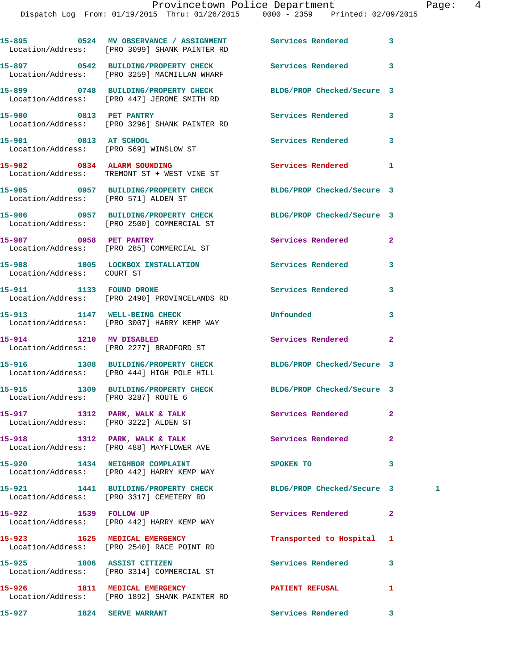|                                       | 15-895 0524 MV OBSERVANCE / ASSIGNMENT Services Rendered<br>Location/Address: [PRO 3099] SHANK PAINTER RD    |                            | 3              |   |
|---------------------------------------|--------------------------------------------------------------------------------------------------------------|----------------------------|----------------|---|
|                                       | 15-897 0542 BUILDING/PROPERTY CHECK<br>Location/Address: [PRO 3259] MACMILLAN WHARF                          | Services Rendered          | 3              |   |
|                                       | 15-899 0748 BUILDING/PROPERTY CHECK<br>Location/Address: [PRO 447] JEROME SMITH RD                           | BLDG/PROP Checked/Secure 3 |                |   |
| 15-900 0813 PET PANTRY                | Location/Address: [PRO 3296] SHANK PAINTER RD                                                                | Services Rendered          | 3              |   |
| 15-901 0813 AT SCHOOL                 | Location/Address: [PRO 569] WINSLOW ST                                                                       | Services Rendered          | 3              |   |
|                                       | 15-902 0834 ALARM SOUNDING<br>Location/Address: TREMONT ST + WEST VINE ST                                    | Services Rendered          | 1              |   |
| Location/Address: [PRO 571] ALDEN ST  | 15-905 0957 BUILDING/PROPERTY CHECK BLDG/PROP Checked/Secure 3                                               |                            |                |   |
|                                       | 15-906 0957 BUILDING/PROPERTY CHECK<br>Location/Address: [PRO 2500] COMMERCIAL ST                            | BLDG/PROP Checked/Secure 3 |                |   |
| 15-907 0958 PET PANTRY                | Location/Address: [PRO 285] COMMERCIAL ST                                                                    | Services Rendered          | $\mathbf{2}$   |   |
| Location/Address: COURT ST            | 15-908 1005 LOCKBOX INSTALLATION Services Rendered                                                           |                            | 3              |   |
| 15-911 1133 FOUND DRONE               | Location/Address: [PRO 2490] PROVINCELANDS RD                                                                | Services Rendered          | 3              |   |
|                                       | 15-913 1147 WELL-BEING CHECK<br>Location/Address: [PRO 3007] HARRY KEMP WAY                                  | Unfounded                  | 3              |   |
| 15-914 1210 MV DISABLED               | Location/Address: [PRO 2277] BRADFORD ST                                                                     | Services Rendered          | $\mathbf{2}$   |   |
|                                       | 15-916 1308 BUILDING/PROPERTY CHECK BLDG/PROP Checked/Secure 3<br>Location/Address: [PRO 444] HIGH POLE HILL |                            |                |   |
| Location/Address: [PRO 3287] ROUTE 6  | 15-915 1309 BUILDING/PROPERTY CHECK BLDG/PROP Checked/Secure 3                                               |                            |                |   |
| Location/Address: [PRO 3222] ALDEN ST | 15-917 1312 PARK, WALK & TALK                                                                                | Services Rendered          | 2              |   |
|                                       | 15-918 1312 PARK, WALK & TALK<br>Location/Address: [PRO 488] MAYFLOWER AVE                                   | <b>Services Rendered</b>   | $\overline{a}$ |   |
|                                       | 15-920 1434 NEIGHBOR COMPLAINT<br>Location/Address: [PRO 442] HARRY KEMP WAY                                 | SPOKEN TO                  | 3              |   |
|                                       | 15-921 1441 BUILDING/PROPERTY CHECK<br>Location/Address: [PRO 3317] CEMETERY RD                              | BLDG/PROP Checked/Secure 3 |                | 1 |
|                                       | 15-922 1539 FOLLOW UP<br>Location/Address: [PRO 442] HARRY KEMP WAY                                          | Services Rendered          | $\mathbf{2}$   |   |
|                                       | 15-923 1625 MEDICAL EMERGENCY<br>Location/Address: [PRO 2540] RACE POINT RD                                  | Transported to Hospital    | 1              |   |
|                                       | 15-925 1806 ASSIST CITIZEN<br>Location/Address: [PRO 3314] COMMERCIAL ST                                     | <b>Services Rendered</b>   | 3              |   |
|                                       | 15-926 1811 MEDICAL EMERGENCY<br>Location/Address: [PRO 1892] SHANK PAINTER RD                               | <b>PATIENT REFUSAL</b>     | 1              |   |
|                                       |                                                                                                              |                            |                |   |

15-927 1824 SERVE WARRANT Services Rendered 3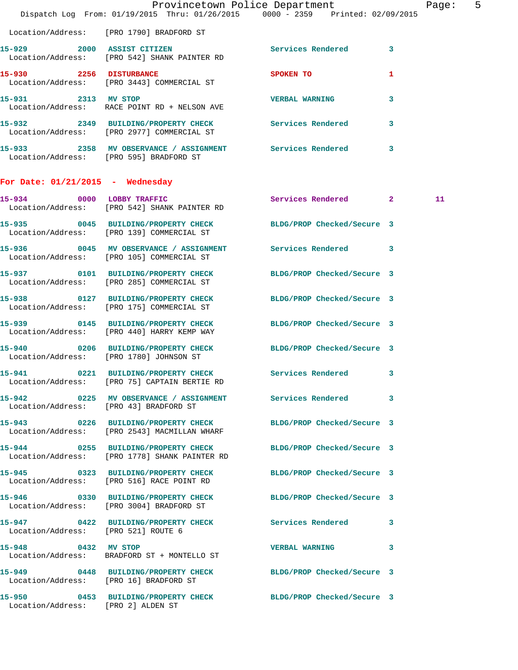|                                     | Dispatch Log From: 01/19/2015 Thru: 01/26/2015 0000 - 2359 Printed: 02/09/2015                                  | Provincetown Police Department | Page: 5      |
|-------------------------------------|-----------------------------------------------------------------------------------------------------------------|--------------------------------|--------------|
|                                     | Location/Address: [PRO 1790] BRADFORD ST                                                                        |                                |              |
|                                     | 15-929 2000 ASSIST CITIZEN<br>Location/Address: [PRO 542] SHANK PAINTER RD                                      | Services Rendered 3            |              |
|                                     | 15-930 2256 DISTURBANCE<br>Location/Address: [PRO 3443] COMMERCIAL ST                                           | SPOKEN TO                      | 1            |
| 15-931 2313 MV STOP                 | Location/Address: RACE POINT RD + NELSON AVE                                                                    | <b>VERBAL WARNING</b>          | $\mathbf{3}$ |
|                                     | 15-932 2349 BUILDING/PROPERTY CHECK Services Rendered 3<br>Location/Address: [PRO 2977] COMMERCIAL ST           |                                |              |
|                                     | 15-933 2358 MV OBSERVANCE / ASSIGNMENT Services Rendered 3<br>Location/Address: [PRO 595] BRADFORD ST           |                                |              |
| For Date: $01/21/2015$ - Wednesday  |                                                                                                                 |                                |              |
|                                     | 15-934 0000 LOBBY TRAFFIC<br>Location/Address: [PRO 542] SHANK PAINTER RD                                       | Services Rendered 2            | 11           |
|                                     | 15-935 0045 BUILDING/PROPERTY CHECK BLDG/PROP Checked/Secure 3<br>Location/Address: [PRO 139] COMMERCIAL ST     |                                |              |
|                                     | 15-936 60045 MV OBSERVANCE / ASSIGNMENT Services Rendered 3<br>Location/Address: [PRO 105] COMMERCIAL ST        |                                |              |
|                                     | 15-937 0101 BUILDING/PROPERTY CHECK<br>Location/Address: [PRO 285] COMMERCIAL ST                                | BLDG/PROP Checked/Secure 3     |              |
|                                     | 15-938 0127 BUILDING/PROPERTY CHECK<br>Location/Address: [PRO 175] COMMERCIAL ST                                | BLDG/PROP Checked/Secure 3     |              |
| 15-939                              | 0145 BUILDING/PROPERTY CHECK BLDG/PROP Checked/Secure 3<br>Location/Address: [PRO 440] HARRY KEMP WAY           |                                |              |
|                                     | 15-940 0206 BUILDING/PROPERTY CHECK<br>Location/Address: [PRO 1780] JOHNSON ST                                  | BLDG/PROP Checked/Secure 3     |              |
| 15-941                              | 0221 BUILDING/PROPERTY CHECK Services Rendered 3<br>Location/Address: [PRO 75] CAPTAIN BERTIE RD                |                                |              |
|                                     | 15-942 0225 MV OBSERVANCE / ASSIGNMENT Services Rendered 3<br>Location/Address: [PRO 43] BRADFORD ST            |                                |              |
|                                     | 15-943 0226 BUILDING/PROPERTY CHECK BLDG/PROP Checked/Secure 3<br>Location/Address: [PRO 2543] MACMILLAN WHARF  |                                |              |
|                                     | 15-944 0255 BUILDING/PROPERTY CHECK BLDG/PROP Checked/Secure 3<br>Location/Address: [PRO 1778] SHANK PAINTER RD |                                |              |
|                                     | 15-945 0323 BUILDING/PROPERTY CHECK<br>Location/Address: [PRO 516] RACE POINT RD                                | BLDG/PROP Checked/Secure 3     |              |
|                                     | 15-946 0330 BUILDING/PROPERTY CHECK BLDG/PROP Checked/Secure 3<br>Location/Address: [PRO 3004] BRADFORD ST      |                                |              |
| Location/Address: [PRO 521] ROUTE 6 | 15-947 0422 BUILDING/PROPERTY CHECK Services Rendered 3                                                         |                                |              |
| 15-948 0432 MV STOP                 | Location/Address: BRADFORD ST + MONTELLO ST                                                                     | VERBAL WARNING 3               |              |
|                                     | 15-949 0448 BUILDING/PROPERTY CHECK BLDG/PROP Checked/Secure 3<br>Location/Address: [PRO 16] BRADFORD ST        |                                |              |
| Location/Address: [PRO 2] ALDEN ST  | 15-950 0453 BUILDING/PROPERTY CHECK BLDG/PROP Checked/Secure 3                                                  |                                |              |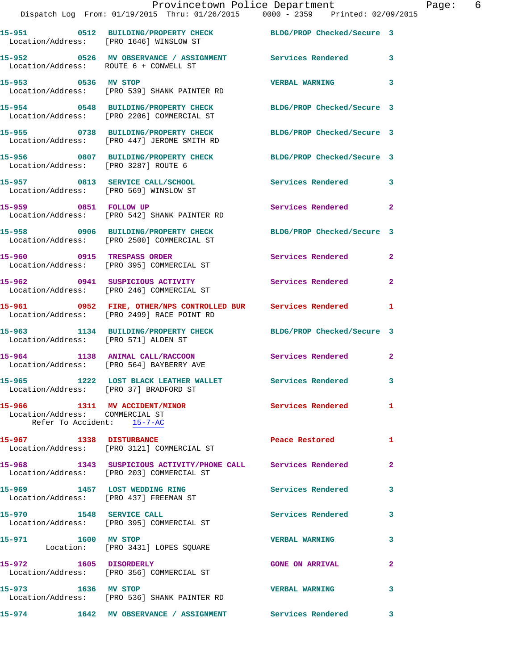|                                                                                                | Provincetown Police Department<br>Dispatch Log From: 01/19/2015 Thru: 01/26/2015 0000 - 2359 Printed: 02/09/2015 |                            |                |
|------------------------------------------------------------------------------------------------|------------------------------------------------------------------------------------------------------------------|----------------------------|----------------|
| Location/Address: [PRO 1646] WINSLOW ST                                                        | 15-951 0512 BUILDING/PROPERTY CHECK BLDG/PROP Checked/Secure 3                                                   |                            |                |
| Location/Address: ROUTE 6 + CONWELL ST                                                         | 15-952 0526 MV OBSERVANCE / ASSIGNMENT Services Rendered                                                         |                            | 3              |
| 15-953 0536 MV STOP                                                                            | Location/Address: [PRO 539] SHANK PAINTER RD                                                                     | <b>VERBAL WARNING</b>      | 3              |
|                                                                                                | 15-954 0548 BUILDING/PROPERTY CHECK BLDG/PROP Checked/Secure 3<br>Location/Address: [PRO 2206] COMMERCIAL ST     |                            |                |
|                                                                                                | 15-955 0738 BUILDING/PROPERTY CHECK<br>Location/Address: [PRO 447] JEROME SMITH RD                               | BLDG/PROP Checked/Secure 3 |                |
| Location/Address: [PRO 3287] ROUTE 6                                                           | 15-956 0807 BUILDING/PROPERTY CHECK BLDG/PROP Checked/Secure 3                                                   |                            |                |
|                                                                                                | 15-957 0813 SERVICE CALL/SCHOOL<br>Location/Address: [PRO 569] WINSLOW ST                                        | Services Rendered          | 3              |
| 15-959 0851 FOLLOW UP                                                                          | Location/Address: [PRO 542] SHANK PAINTER RD                                                                     | Services Rendered          | $\mathbf{2}$   |
|                                                                                                | 15-958 0906 BUILDING/PROPERTY CHECK<br>Location/Address: [PRO 2500] COMMERCIAL ST                                | BLDG/PROP Checked/Secure 3 |                |
|                                                                                                | 15-960 0915 TRESPASS ORDER<br>Location/Address: [PRO 395] COMMERCIAL ST                                          | Services Rendered          | $\mathbf{2}$   |
|                                                                                                | 15-962 0941 SUSPICIOUS ACTIVITY<br>Location/Address: [PRO 246] COMMERCIAL ST                                     | Services Rendered          | $\overline{2}$ |
|                                                                                                | 15-961 0952 FIRE, OTHER/NPS CONTROLLED BUR Services Rendered<br>Location/Address: [PRO 2499] RACE POINT RD       |                            | 1              |
| Location/Address: [PRO 571] ALDEN ST                                                           | 15-963 1134 BUILDING/PROPERTY CHECK BLDG/PROP Checked/Secure 3                                                   |                            |                |
|                                                                                                | 15-964 1138 ANIMAL CALL/RACCOON Services Rendered<br>Location/Address: [PRO 564] BAYBERRY AVE                    |                            | $\mathbf{2}$   |
| Location/Address: [PRO 37] BRADFORD ST                                                         | 15-965 1222 LOST BLACK LEATHER WALLET                                                                            | Services Rendered          |                |
| 15-966 1311 MV ACCIDENT/MINOR<br>Location/Address: COMMERCIAL ST<br>Refer To Accident: 15-7-AC |                                                                                                                  | Services Rendered          | 1              |
| 15-967 1338 DISTURBANCE                                                                        | Location/Address: [PRO 3121] COMMERCIAL ST                                                                       | Peace Restored             | 1              |
|                                                                                                | 15-968 1343 SUSPICIOUS ACTIVITY/PHONE CALL Services Rendered<br>Location/Address: [PRO 203] COMMERCIAL ST        |                            | $\mathbf{2}$   |
|                                                                                                | 15-969 1457 LOST WEDDING RING<br>Location/Address: [PRO 437] FREEMAN ST                                          | Services Rendered          | 3              |
|                                                                                                | 15-970 1548 SERVICE CALL<br>Location/Address: [PRO 395] COMMERCIAL ST                                            | Services Rendered          | 3              |
| 15-971 1600 MV STOP                                                                            | Location: [PRO 3431] LOPES SQUARE                                                                                | <b>VERBAL WARNING</b>      | 3              |
|                                                                                                | 15-972 1605 DISORDERLY<br>Location/Address: [PRO 356] COMMERCIAL ST                                              | <b>GONE ON ARRIVAL</b>     | 2              |
| 15-973 1636 MV STOP                                                                            | Location/Address: [PRO 536] SHANK PAINTER RD                                                                     | <b>VERBAL WARNING</b>      | 3              |
| 15-974                                                                                         | 1642 MV OBSERVANCE / ASSIGNMENT Services Rendered                                                                |                            | 3              |

Page: 6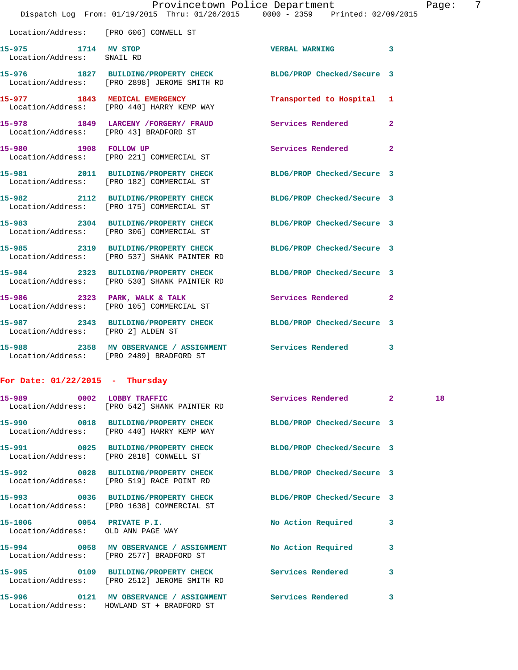|                                                   |                                                                                                                | Provincetown Police Department | 7<br>Page:   |
|---------------------------------------------------|----------------------------------------------------------------------------------------------------------------|--------------------------------|--------------|
|                                                   | Dispatch Log From: 01/19/2015 Thru: 01/26/2015 0000 - 2359 Printed: 02/09/2015                                 |                                |              |
| Location/Address: [PRO 606] CONWELL ST            |                                                                                                                |                                |              |
| 15-975 1714 MV STOP<br>Location/Address: SNAIL RD |                                                                                                                | <b>VERBAL WARNING 3</b>        |              |
|                                                   | 15-976 1827 BUILDING/PROPERTY CHECK BLDG/PROP Checked/Secure 3<br>Location/Address: [PRO 2898] JEROME SMITH RD |                                |              |
|                                                   | 15-977 1843 MEDICAL EMERGENCY<br>Location/Address: [PRO 440] HARRY KEMP WAY                                    | Transported to Hospital 1      |              |
|                                                   | 15-978 1849 LARCENY /FORGERY / FRAUD Services Rendered<br>Location/Address: [PRO 43] BRADFORD ST               |                                | $\mathbf{2}$ |
|                                                   | 15-980 1908 FOLLOW UP<br>Location/Address: [PRO 221] COMMERCIAL ST                                             | Services Rendered 2            |              |
|                                                   | 15-981 2011 BUILDING/PROPERTY CHECK BLDG/PROP Checked/Secure 3<br>Location/Address: [PRO 182] COMMERCIAL ST    |                                |              |
|                                                   | 15-982 2112 BUILDING/PROPERTY CHECK BLDG/PROP Checked/Secure 3<br>Location/Address: [PRO 175] COMMERCIAL ST    |                                |              |
|                                                   | 15-983 2304 BUILDING/PROPERTY CHECK BLDG/PROP Checked/Secure 3<br>Location/Address: [PRO 306] COMMERCIAL ST    |                                |              |
|                                                   | 15-985 2319 BUILDING/PROPERTY CHECK<br>Location/Address: [PRO 537] SHANK PAINTER RD                            | BLDG/PROP Checked/Secure 3     |              |
|                                                   | 15-984 2323 BUILDING/PROPERTY CHECK BLDG/PROP Checked/Secure 3<br>Location/Address: [PRO 530] SHANK PAINTER RD |                                |              |
|                                                   | 15-986 2323 PARK, WALK & TALK 6 Services Rendered 2<br>Location/Address: [PRO 105] COMMERCIAL ST               |                                |              |
| Location/Address: [PRO 2] ALDEN ST                | 15-987 2343 BUILDING/PROPERTY CHECK BLDG/PROP Checked/Secure 3                                                 |                                |              |
|                                                   | Location/Address: [PRO 2489] BRADFORD ST                                                                       |                                |              |
| For Date: $01/22/2015$ - Thursday                 |                                                                                                                |                                |              |
| 15-989 0002 LOBBY TRAFFIC                         | Location/Address: [PRO 542] SHANK PAINTER RD                                                                   | Services Rendered 2            | 18           |
|                                                   | 15-990 0018 BUILDING/PROPERTY CHECK<br>Location/Address: [PRO 440] HARRY KEMP WAY                              | BLDG/PROP Checked/Secure 3     |              |
|                                                   | 15-991 0025 BUILDING/PROPERTY CHECK<br>Location/Address: [PRO 2818] CONWELL ST                                 | BLDG/PROP Checked/Secure 3     |              |
|                                                   | 15-992 0028 BUILDING/PROPERTY CHECK<br>Location/Address: [PRO 519] RACE POINT RD                               | BLDG/PROP Checked/Secure 3     |              |
|                                                   | 15-993 0036 BUILDING/PROPERTY CHECK<br>Location/Address: [PRO 1638] COMMERCIAL ST                              | BLDG/PROP Checked/Secure 3     |              |
|                                                   |                                                                                                                |                                |              |

 Location/Address: OLD ANN PAGE WAY **15-994 0058 MV OBSERVANCE / ASSIGNMENT No Action Required 3**  Location/Address: [PRO 2577] BRADFORD ST **15-995 0109 BUILDING/PROPERTY CHECK Services Rendered 3**  Location/Address: [PRO 2512] JEROME SMITH RD

**15-996 0121 MV OBSERVANCE / ASSIGNMENT Services Rendered 3**  Location/Address: HOWLAND ST + BRADFORD ST

**15-1006 0054 PRIVATE P.I. No Action Required 3**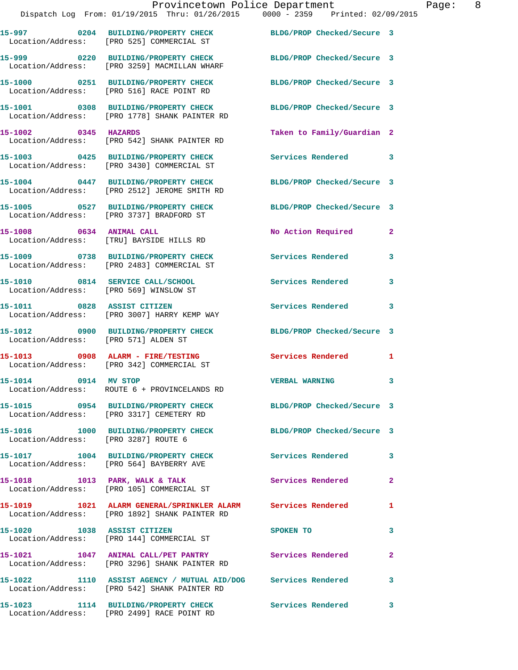|                                      | Provincetown Police Department<br>Dispatch Log From: 01/19/2015 Thru: 01/26/2015 0000 - 2359 Printed: 02/09/2015 |                            |                |
|--------------------------------------|------------------------------------------------------------------------------------------------------------------|----------------------------|----------------|
|                                      | 15-997 0204 BUILDING/PROPERTY CHECK BLDG/PROP Checked/Secure 3<br>Location/Address: [PRO 525] COMMERCIAL ST      |                            |                |
|                                      | 15-999 0220 BUILDING/PROPERTY CHECK BLDG/PROP Checked/Secure 3<br>Location/Address: [PRO 3259] MACMILLAN WHARF   |                            |                |
|                                      | 15-1000 0251 BUILDING/PROPERTY CHECK<br>Location/Address: [PRO 516] RACE POINT RD                                | BLDG/PROP Checked/Secure 3 |                |
|                                      | 15-1001 0308 BUILDING/PROPERTY CHECK<br>Location/Address: [PRO 1778] SHANK PAINTER RD                            | BLDG/PROP Checked/Secure 3 |                |
| 15-1002 0345 HAZARDS                 | Location/Address: [PRO 542] SHANK PAINTER RD                                                                     | Taken to Family/Guardian 2 |                |
|                                      | 15-1003 0425 BUILDING/PROPERTY CHECK<br>Location/Address: [PRO 3430] COMMERCIAL ST                               | <b>Services Rendered</b>   | 3              |
|                                      | 15-1004 0447 BUILDING/PROPERTY CHECK<br>Location/Address: [PRO 2512] JEROME SMITH RD                             | BLDG/PROP Checked/Secure 3 |                |
|                                      | 15-1005 0527 BUILDING/PROPERTY CHECK<br>Location/Address: [PRO 3737] BRADFORD ST                                 | BLDG/PROP Checked/Secure 3 |                |
| 15-1008 0634 ANIMAL CALL             | Location/Address: [TRU] BAYSIDE HILLS RD                                                                         | No Action Required         | $\overline{2}$ |
|                                      | 15-1009 0738 BUILDING/PROPERTY CHECK<br>Location/Address: [PRO 2483] COMMERCIAL ST                               | <b>Services Rendered</b>   | 3              |
|                                      | 15-1010 0814 SERVICE CALL/SCHOOL<br>Location/Address: [PRO 569] WINSLOW ST                                       | Services Rendered          | 3              |
|                                      | 15-1011 0828 ASSIST CITIZEN<br>Location/Address: [PRO 3007] HARRY KEMP WAY                                       | Services Rendered          | 3              |
| Location/Address: [PRO 571] ALDEN ST | 15-1012 0900 BUILDING/PROPERTY CHECK                                                                             | BLDG/PROP Checked/Secure 3 |                |
|                                      | 15-1013 0908 ALARM - FIRE/TESTING<br>Location/Address: [PRO 342] COMMERCIAL ST                                   | <b>Services Rendered</b>   | 1              |
| 15-1014 0914 MV STOP                 | Location/Address: ROUTE 6 + PROVINCELANDS RD                                                                     | <b>VERBAL WARNING</b>      |                |
|                                      | 15-1015 0954 BUILDING/PROPERTY CHECK BLDG/PROP Checked/Secure 3<br>Location/Address: [PRO 3317] CEMETERY RD      |                            |                |
| Location/Address: [PRO 3287] ROUTE 6 | 15-1016 1000 BUILDING/PROPERTY CHECK                                                                             | BLDG/PROP Checked/Secure 3 |                |
|                                      | 15-1017 1004 BUILDING/PROPERTY CHECK Services Rendered<br>Location/Address: [PRO 564] BAYBERRY AVE               |                            | 3              |
|                                      | 15-1018 1013 PARK, WALK & TALK<br>Location/Address: [PRO 105] COMMERCIAL ST                                      | <b>Services Rendered</b>   | $\overline{a}$ |
|                                      | 15-1019 1021 ALARM GENERAL/SPRINKLER ALARM Services Rendered<br>Location/Address: [PRO 1892] SHANK PAINTER RD    |                            | 1              |
| 15-1020 1038 ASSIST CITIZEN          | Location/Address: [PRO 144] COMMERCIAL ST                                                                        | SPOKEN TO                  | 3              |
|                                      | 15-1021 1047 ANIMAL CALL/PET PANTRY Services Rendered<br>Location/Address: [PRO 3296] SHANK PAINTER RD           |                            | $\mathbf{2}$   |
|                                      | 15-1022 1110 ASSIST AGENCY / MUTUAL AID/DOG Services Rendered<br>Location/Address: [PRO 542] SHANK PAINTER RD    |                            | 3              |

**15-1023 1114 BUILDING/PROPERTY CHECK Services Rendered 3**  Location/Address: [PRO 2499] RACE POINT RD

Page: 8<br>15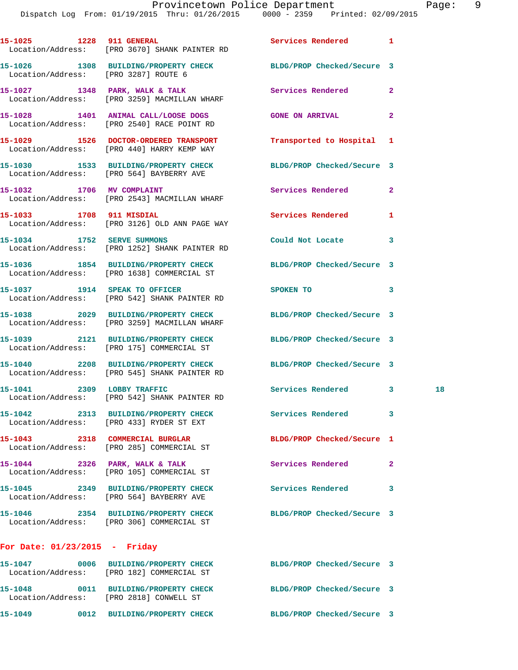|                                      | 15-1025 1228 911 GENERAL<br>Location/Address: [PRO 3670] SHANK PAINTER RD                                       | Services Rendered 1        |              |  |
|--------------------------------------|-----------------------------------------------------------------------------------------------------------------|----------------------------|--------------|--|
| Location/Address: [PRO 3287] ROUTE 6 | 15-1026 1308 BUILDING/PROPERTY CHECK BLDG/PROP Checked/Secure 3                                                 |                            |              |  |
|                                      | 15-1027 1348 PARK, WALK & TALK<br>Location/Address: [PRO 3259] MACMILLAN WHARF                                  | <b>Services Rendered</b>   | $\mathbf{2}$ |  |
|                                      | 15-1028 1401 ANIMAL CALL/LOOSE DOGS GONE ON ARRIVAL<br>Location/Address: [PRO 2540] RACE POINT RD               |                            | $\mathbf{2}$ |  |
|                                      | 15-1029 1526 DOCTOR-ORDERED TRANSPORT<br>Location/Address: [PRO 440] HARRY KEMP WAY                             | Transported to Hospital 1  |              |  |
|                                      | 15-1030 1533 BUILDING/PROPERTY CHECK BLDG/PROP Checked/Secure 3<br>Location/Address: [PRO 564] BAYBERRY AVE     |                            |              |  |
|                                      | 15-1032 1706 MV COMPLAINT<br>Location/Address: [PRO 2543] MACMILLAN WHARF                                       | Services Rendered          | $\mathbf{2}$ |  |
| 15-1033 1708 911 MISDIAL             | Location/Address: [PRO 3126] OLD ANN PAGE WAY                                                                   | <b>Services Rendered</b>   | 1            |  |
|                                      | 15-1034 1752 SERVE SUMMONS<br>Location/Address: [PRO 1252] SHANK PAINTER RD                                     | Could Not Locate           | 3            |  |
|                                      | 15-1036 1854 BUILDING/PROPERTY CHECK<br>Location/Address: [PRO 1638] COMMERCIAL ST                              | BLDG/PROP Checked/Secure 3 |              |  |
|                                      | 15-1037 1914 SPEAK TO OFFICER<br>Location/Address: [PRO 542] SHANK PAINTER RD                                   | SPOKEN TO                  | 3            |  |
|                                      | 15-1038 2029 BUILDING/PROPERTY CHECK<br>Location/Address: [PRO 3259] MACMILLAN WHARF                            | BLDG/PROP Checked/Secure 3 |              |  |
|                                      | 15-1039 2121 BUILDING/PROPERTY CHECK BLDG/PROP Checked/Secure 3<br>Location/Address: [PRO 175] COMMERCIAL ST    |                            |              |  |
|                                      | 15-1040 2208 BUILDING/PROPERTY CHECK BLDG/PROP Checked/Secure 3<br>Location/Address: [PRO 545] SHANK PAINTER RD |                            |              |  |
|                                      | 15-1041 2309 LOBBY TRAFFIC<br>Location/Address: [PRO 542] SHANK PAINTER RD                                      | Services Rendered 3        | 18           |  |
| 15-1042                              | 2313 BUILDING/PROPERTY CHECK<br>Location/Address: [PRO 433] RYDER ST EXT                                        | Services Rendered          | 3            |  |
|                                      | 15-1043 2318 COMMERCIAL BURGLAR<br>Location/Address: [PRO 285] COMMERCIAL ST                                    | BLDG/PROP Checked/Secure 1 |              |  |
|                                      | 15-1044 2326 PARK, WALK & TALK<br>Location/Address: [PRO 105] COMMERCIAL ST                                     | Services Rendered          | $\mathbf{2}$ |  |
|                                      | 15-1045 2349 BUILDING/PROPERTY CHECK<br>Location/Address: [PRO 564] BAYBERRY AVE                                | Services Rendered          | 3            |  |
|                                      | 15-1046 2354 BUILDING/PROPERTY CHECK<br>Location/Address: [PRO 306] COMMERCIAL ST                               | BLDG/PROP Checked/Secure 3 |              |  |
| For Date: $01/23/2015$ - Friday      |                                                                                                                 |                            |              |  |
|                                      | 15-1047 0006 BUILDING/PROPERTY CHECK                                                                            | BLDG/PROP Checked/Secure 3 |              |  |

**15-1048 0011 BUILDING/PROPERTY CHECK BLDG/PROP Checked/Secure 3** 

**15-1049 0012 BUILDING/PROPERTY CHECK BLDG/PROP Checked/Secure 3** 

Location/Address: [PRO 182] COMMERCIAL ST

Location/Address: [PRO 2818] CONWELL ST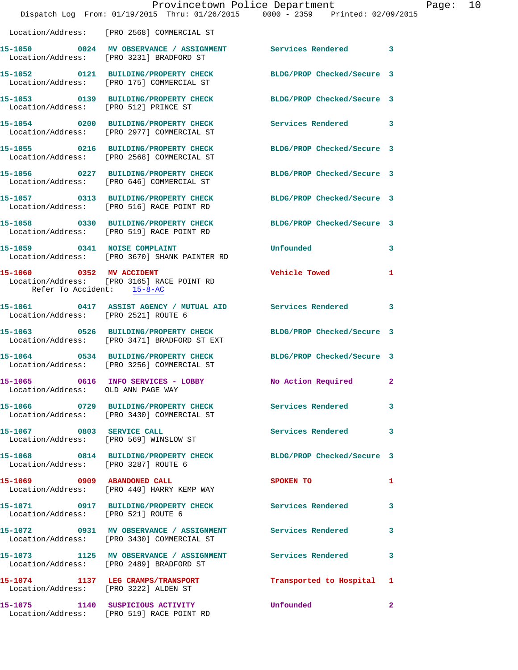|                                       | Dispatch Log From: 01/19/2015 Thru: 01/26/2015 0000 - 2359 Printed: 02/09/2015                                  | Provincetown Police Department | Page: 10 |
|---------------------------------------|-----------------------------------------------------------------------------------------------------------------|--------------------------------|----------|
|                                       | Location/Address: [PRO 2568] COMMERCIAL ST                                                                      |                                |          |
|                                       | 15-1050 0024 MV OBSERVANCE / ASSIGNMENT Services Rendered 3<br>Location/Address: [PRO 3231] BRADFORD ST         |                                |          |
|                                       | 15-1052 0121 BUILDING/PROPERTY CHECK BLDG/PROP Checked/Secure 3<br>Location/Address: [PRO 175] COMMERCIAL ST    |                                |          |
| Location/Address: [PRO 512] PRINCE ST | 15-1053 0139 BUILDING/PROPERTY CHECK BLDG/PROP Checked/Secure 3                                                 |                                |          |
|                                       | 15-1054 0200 BUILDING/PROPERTY CHECK Services Rendered 3<br>Location/Address: [PRO 2977] COMMERCIAL ST          |                                |          |
|                                       | 15-1055 0216 BUILDING/PROPERTY CHECK<br>Location/Address: [PRO 2568] COMMERCIAL ST                              | BLDG/PROP Checked/Secure 3     |          |
|                                       | 15-1056      0227   BUILDING/PROPERTY CHECK<br>Location/Address:   [PRO 646] COMMERCIAL ST                      | BLDG/PROP Checked/Secure 3     |          |
|                                       | 15-1057 0313 BUILDING/PROPERTY CHECK<br>Location/Address: [PRO 516] RACE POINT RD                               | BLDG/PROP Checked/Secure 3     |          |
|                                       | 15-1058 0330 BUILDING/PROPERTY CHECK<br>Location/Address: [PRO 519] RACE POINT RD                               | BLDG/PROP Checked/Secure 3     |          |
|                                       | 15-1059 0341 NOISE COMPLAINT<br>Location/Address: [PRO 3670] SHANK PAINTER RD                                   | Unfounded                      | 3        |
| Refer To Accident: 15-8-AC            | 15-1060 0352 MV ACCIDENT<br>Location/Address: [PRO 3165] RACE POINT RD                                          | <b>Vehicle Towed</b>           | 1        |
| Location/Address: [PRO 2521] ROUTE 6  | 15-1061 0417 ASSIST AGENCY / MUTUAL AID Services Rendered                                                       |                                | 3        |
|                                       | 15-1063 0526 BUILDING/PROPERTY CHECK BLDG/PROP Checked/Secure 3<br>Location/Address: [PRO 3471] BRADFORD ST EXT |                                |          |
|                                       | 15-1064 0534 BUILDING/PROPERTY CHECK BLDG/PROP Checked/Secure 3<br>Location/Address: [PRO 3256] COMMERCIAL ST   |                                |          |
| Location/Address: OLD ANN PAGE WAY    | 15-1065 0616 INFO SERVICES - LOBBY                                                                              | No Action Required 2           |          |
|                                       | 15-1066 0729 BUILDING/PROPERTY CHECK Services Rendered<br>Location/Address: [PRO 3430] COMMERCIAL ST            |                                | 3        |
| 15-1067 0803 SERVICE CALL             | Location/Address: [PRO 569] WINSLOW ST                                                                          | Services Rendered              | 3        |
| Location/Address: [PRO 3287] ROUTE 6  | 15-1068 0814 BUILDING/PROPERTY CHECK BLDG/PROP Checked/Secure 3                                                 |                                |          |
|                                       | 15-1069 0909 ABANDONED CALL<br>Location/Address: [PRO 440] HARRY KEMP WAY                                       | <b>SPOKEN TO</b>               | 1        |
| Location/Address: [PRO 521] ROUTE 6   | 15-1071 0917 BUILDING/PROPERTY CHECK Services Rendered                                                          |                                | 3        |
|                                       | 15-1072 0931 MV OBSERVANCE / ASSIGNMENT Services Rendered<br>Location/Address: [PRO 3430] COMMERCIAL ST         |                                | 3        |
|                                       | 15-1073 1125 MV OBSERVANCE / ASSIGNMENT Services Rendered<br>Location/Address: [PRO 2489] BRADFORD ST           |                                | 3        |
|                                       | 15-1074 1137 LEG CRAMPS/TRANSPORT<br>Location/Address: [PRO 3222] ALDEN ST                                      | Transported to Hospital 1      |          |
|                                       | 15-1075 1140 SUSPICIOUS ACTIVITY<br>Location/Address: [PRO 519] RACE POINT RD                                   | Unfounded                      | 2        |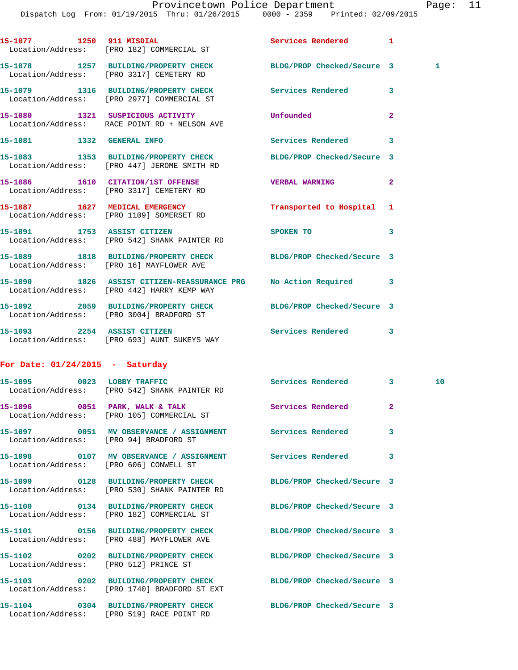Dispatch Log From: 01/19/2015 Thru: 01/26/2015 0000 - 2359 Printed: 02/09/2015 **15-1077 1250 911 MISDIAL Services Rendered 1**  Location/Address: [PRO 182] COMMERCIAL ST **15-1078 1257 BUILDING/PROPERTY CHECK BLDG/PROP Checked/Secure 3 1**  Location/Address: [PRO 3317] CEMETERY RD **15-1079 1316 BUILDING/PROPERTY CHECK Services Rendered 3**  Location/Address: [PRO 2977] COMMERCIAL ST **15-1080 1321 SUSPICIOUS ACTIVITY Unfounded 2**  Location/Address: RACE POINT RD + NELSON AVE **15-1081 1332 GENERAL INFO Services Rendered 3 15-1083 1353 BUILDING/PROPERTY CHECK BLDG/PROP Checked/Secure 3**  Location/Address: [PRO 447] JEROME SMITH RD **15-1086 1610 CITATION/1ST OFFENSE VERBAL WARNING 2**  Location/Address: [PRO 3317] CEMETERY RD **15-1087 1627 MEDICAL EMERGENCY Transported to Hospital 1**  Location/Address: [PRO 1109] SOMERSET RD **15-1091 1753 ASSIST CITIZEN SPOKEN TO 3**  Location/Address: [PRO 542] SHANK PAINTER RD

**15-1089 1818 BUILDING/PROPERTY CHECK BLDG/PROP Checked/Secure 3**  Location/Address: [PRO 16] MAYFLOWER AVE **15-1090 1826 ASSIST CITIZEN-REASSURANCE PRG No Action Required 3**  Location/Address: [PRO 442] HARRY KEMP WAY **15-1092 2059 BUILDING/PROPERTY CHECK BLDG/PROP Checked/Secure 3**  Location/Address: [PRO 3004] BRADFORD ST

**15-1093 2254 ASSIST CITIZEN Services Rendered 3**  Location/Address: [PRO 693] AUNT SUKEYS WAY

## **For Date: 01/24/2015 - Saturday**

|                                        | 15-1095 0023 LOBBY TRAFFIC Services Rendered 3<br>Location/Address: [PRO 542] SHANK PAINTER RD                        |                         | 10 <sub>1</sub> |
|----------------------------------------|-----------------------------------------------------------------------------------------------------------------------|-------------------------|-----------------|
|                                        | 15-1096 60051 PARK, WALK & TALK 600 Services Rendered<br>Location/Address: [PRO 105] COMMERCIAL ST                    | $\overline{2}$          |                 |
| Location/Address: [PRO 94] BRADFORD ST | 15-1097 6051 MV OBSERVANCE / ASSIGNMENT Services Rendered                                                             | $\overline{\mathbf{3}}$ |                 |
| Location/Address: [PRO 606] CONWELL ST |                                                                                                                       | $\overline{\mathbf{3}}$ |                 |
|                                        | 15-1099 		 0128 BUILDING/PROPERTY CHECK 		 BLDG/PROP Checked/Secure 3<br>Location/Address: [PRO 530] SHANK PAINTER RD |                         |                 |
|                                        | 15-1100 0134 BUILDING/PROPERTY CHECK BLDG/PROP Checked/Secure 3<br>Location/Address: [PRO 182] COMMERCIAL ST          |                         |                 |
|                                        | 15-1101 0156 BUILDING/PROPERTY CHECK BLDG/PROP Checked/Secure 3<br>Location/Address: [PRO 488] MAYFLOWER AVE          |                         |                 |
| Location/Address: [PRO 512] PRINCE ST  | 15-1102 0202 BUILDING/PROPERTY CHECK BLDG/PROP Checked/Secure 3                                                       |                         |                 |
|                                        | 15-1103 0202 BUILDING/PROPERTY CHECK BLDG/PROP Checked/Secure 3<br>Location/Address: [PRO 1740] BRADFORD ST EXT       |                         |                 |
|                                        | 15-1104 0304 BUILDING/PROPERTY CHECK BLDG/PROP Checked/Secure 3<br>Location/Address: [PRO 519] RACE POINT RD          |                         |                 |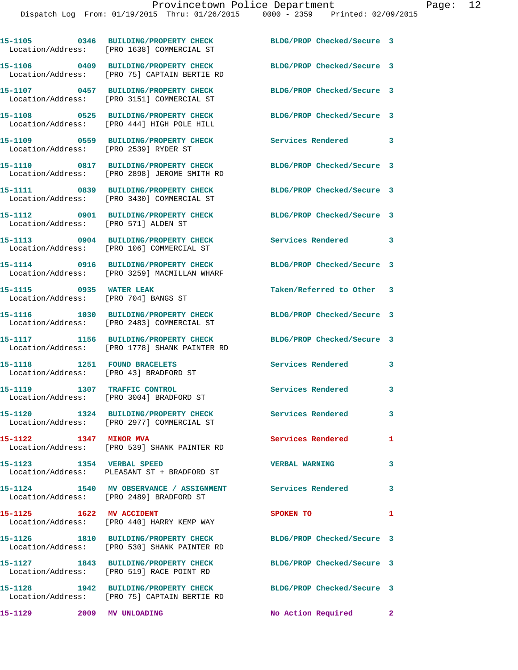|                                                                 | 15-1105 0346 BUILDING/PROPERTY CHECK<br>Location/Address: [PRO 1638] COMMERCIAL ST                      | BLDG/PROP Checked/Secure 3 |   |
|-----------------------------------------------------------------|---------------------------------------------------------------------------------------------------------|----------------------------|---|
|                                                                 | 15-1106 0409 BUILDING/PROPERTY CHECK<br>Location/Address: [PRO 75] CAPTAIN BERTIE RD                    | BLDG/PROP Checked/Secure 3 |   |
|                                                                 | 15-1107 0457 BUILDING/PROPERTY CHECK<br>Location/Address: [PRO 3151] COMMERCIAL ST                      | BLDG/PROP Checked/Secure 3 |   |
| Location/Address:                                               | 15-1108 0525 BUILDING/PROPERTY CHECK<br>[PRO 444] HIGH POLE HILL                                        | BLDG/PROP Checked/Secure 3 |   |
| Location/Address: [PRO 2539] RYDER ST                           | 15-1109 0559 BUILDING/PROPERTY CHECK                                                                    | Services Rendered 3        |   |
| Location/Address:                                               | 15-1110 0817 BUILDING/PROPERTY CHECK<br>[PRO 2898] JEROME SMITH RD                                      | BLDG/PROP Checked/Secure 3 |   |
|                                                                 | 15-1111 0839 BUILDING/PROPERTY CHECK<br>Location/Address: [PRO 3430] COMMERCIAL ST                      | BLDG/PROP Checked/Secure 3 |   |
| Location/Address: [PRO 571] ALDEN ST                            | 15-1112 0901 BUILDING/PROPERTY CHECK                                                                    | BLDG/PROP Checked/Secure 3 |   |
|                                                                 | 15-1113 0904 BUILDING/PROPERTY CHECK<br>Location/Address: [PRO 106] COMMERCIAL ST                       | Services Rendered 3        |   |
|                                                                 | 15-1114 0916 BUILDING/PROPERTY CHECK<br>Location/Address: [PRO 3259] MACMILLAN WHARF                    | BLDG/PROP Checked/Secure 3 |   |
| 15-1115 0935 WATER LEAK<br>Location/Address: [PRO 704] BANGS ST |                                                                                                         | Taken/Referred to Other 3  |   |
|                                                                 | 15-1116 1030 BUILDING/PROPERTY CHECK<br>Location/Address: [PRO 2483] COMMERCIAL ST                      | BLDG/PROP Checked/Secure 3 |   |
|                                                                 | 15-1117 1156 BUILDING/PROPERTY CHECK<br>Location/Address: [PRO 1778] SHANK PAINTER RD                   | BLDG/PROP Checked/Secure 3 |   |
|                                                                 | 15-1118 1251 FOUND BRACELETS<br>Location/Address: [PRO 43] BRADFORD ST                                  | Services Rendered          | 3 |
| 15-1119 1307 TRAFFIC CONTROL                                    | Location/Address: [PRO 3004] BRADFORD ST                                                                | Services Rendered          | 3 |
|                                                                 | 15-1120 1324 BUILDING/PROPERTY CHECK<br>Location/Address: [PRO 2977] COMMERCIAL ST                      | Services Rendered          | 3 |
| 15-1122 1347 MINOR MVA                                          | Location/Address: [PRO 539] SHANK PAINTER RD                                                            | Services Rendered 1        |   |
| 15-1123 1354 VERBAL SPEED                                       | Location/Address: PLEASANT ST + BRADFORD ST                                                             | <b>VERBAL WARNING</b>      | 3 |
|                                                                 | 15-1124 1540 MV OBSERVANCE / ASSIGNMENT Services Rendered 3<br>Location/Address: [PRO 2489] BRADFORD ST |                            |   |
| 15-1125 1622 MV ACCIDENT                                        | Location/Address: [PRO 440] HARRY KEMP WAY                                                              | SPOKEN TO                  | 1 |
|                                                                 | 15-1126 1810 BUILDING/PROPERTY CHECK<br>Location/Address: [PRO 530] SHANK PAINTER RD                    | BLDG/PROP Checked/Secure 3 |   |
|                                                                 | 15-1127 1843 BUILDING/PROPERTY CHECK<br>Location/Address: [PRO 519] RACE POINT RD                       | BLDG/PROP Checked/Secure 3 |   |
|                                                                 | 15-1128 1942 BUILDING/PROPERTY CHECK<br>Location/Address: [PRO 75] CAPTAIN BERTIE RD                    | BLDG/PROP Checked/Secure 3 |   |
| 15-1129                                                         | 2009 MV UNLOADING                                                                                       | No Action Required 2       |   |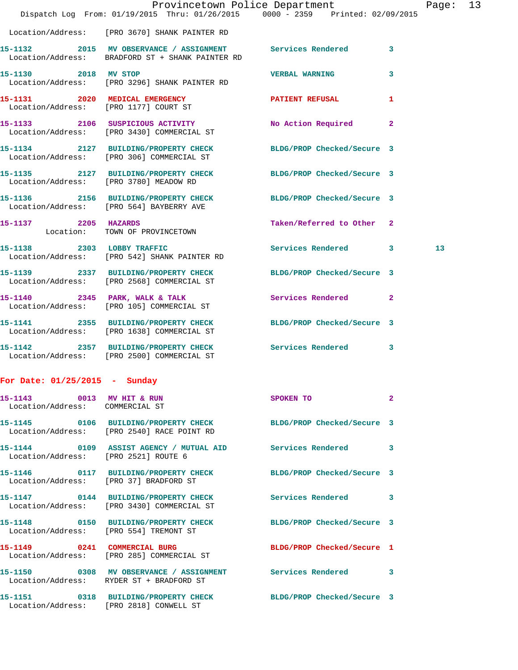|                                      | Dispatch Log From: 01/19/2015 Thru: 01/26/2015 0000 - 2359 Printed: 02/09/2015                                  | Provincetown Police Department |              | Page: 13 |  |
|--------------------------------------|-----------------------------------------------------------------------------------------------------------------|--------------------------------|--------------|----------|--|
|                                      | Location/Address: [PRO 3670] SHANK PAINTER RD                                                                   |                                |              |          |  |
|                                      | 15-1132 2015 MV OBSERVANCE / ASSIGNMENT Services Rendered 3<br>Location/Address: BRADFORD ST + SHANK PAINTER RD |                                |              |          |  |
| 15-1130 2018 MV STOP                 | Location/Address: [PRO 3296] SHANK PAINTER RD                                                                   | <b>VERBAL WARNING</b>          | 3            |          |  |
|                                      | 15-1131 2020 MEDICAL EMERGENCY<br>Location/Address: [PRO 1177] COURT ST                                         | PATIENT REFUSAL                | 1            |          |  |
|                                      | 15-1133 2106 SUSPICIOUS ACTIVITY<br>Location/Address: [PRO 3430] COMMERCIAL ST                                  | No Action Required             | $\mathbf{2}$ |          |  |
|                                      | 15-1134 2127 BUILDING/PROPERTY CHECK BLDG/PROP Checked/Secure 3<br>Location/Address: [PRO 306] COMMERCIAL ST    |                                |              |          |  |
|                                      | 15-1135 2127 BUILDING/PROPERTY CHECK BLDG/PROP Checked/Secure 3 Location/Address: [PRO 3780] MEADOW RD          |                                |              |          |  |
|                                      | 15-1136 2156 BUILDING/PROPERTY CHECK<br>Location/Address: [PRO 564] BAYBERRY AVE                                | BLDG/PROP Checked/Secure 3     |              |          |  |
| 15-1137 2205 HAZARDS                 | Location: TOWN OF PROVINCETOWN                                                                                  | Taken/Referred to Other 2      |              |          |  |
|                                      | 15-1138 2303 LOBBY TRAFFIC<br>Location/Address: [PRO 542] SHANK PAINTER RD                                      | Services Rendered 3            |              | 13       |  |
|                                      | 15-1139 2337 BUILDING/PROPERTY CHECK BLDG/PROP Checked/Secure 3<br>Location/Address: [PRO 2568] COMMERCIAL ST   |                                |              |          |  |
|                                      | 15-1140 2345 PARK, WALK & TALK<br>Location/Address: [PRO 105] COMMERCIAL ST                                     | Services Rendered              | $\mathbf{2}$ |          |  |
|                                      | 15-1141 2355 BUILDING/PROPERTY CHECK BLDG/PROP Checked/Secure 3<br>Location/Address: [PRO 1638] COMMERCIAL ST   |                                |              |          |  |
|                                      | 15-1142 2357 BUILDING/PROPERTY CHECK<br>Location/Address: [PRO 2500] COMMERCIAL ST                              | Services Rendered              | $\mathbf{3}$ |          |  |
| For Date: 01/25/2015 - Sunday        |                                                                                                                 |                                |              |          |  |
| Location/Address: COMMERCIAL ST      | 15-1143 0013 MV HIT & RUN                                                                                       | SPOKEN TO 2                    |              |          |  |
|                                      | 15-1145  0106 BUILDING/PROPERTY CHECK BLDG/PROP Checked/Secure 3<br>Location/Address: [PRO 2540] RACE POINT RD  |                                |              |          |  |
| Location/Address: [PRO 2521] ROUTE 6 | 15-1144 0109 ASSIST AGENCY / MUTUAL AID Services Rendered 3                                                     |                                |              |          |  |
|                                      | 15-1146  0117 BUILDING/PROPERTY CHECK BLDG/PROP Checked/Secure 3<br>Location/Address: [PRO 37] BRADFORD ST      |                                |              |          |  |
|                                      | 15-1147  0144 BUILDING/PROPERTY CHECK Services Rendered 3<br>Location/Address: [PRO 3430] COMMERCIAL ST         |                                |              |          |  |
|                                      | 15-1148 0150 BUILDING/PROPERTY CHECK BLDG/PROP Checked/Secure 3<br>Location/Address: [PRO 554] TREMONT ST       |                                |              |          |  |
|                                      | 15-1149 0241 COMMERCIAL BURG<br>Location/Address: [PRO 285] COMMERCIAL ST                                       | BLDG/PROP Checked/Secure 1     |              |          |  |
|                                      | 15-1150 0308 MV OBSERVANCE / ASSIGNMENT Services Rendered 3<br>Location/Address: RYDER ST + BRADFORD ST         |                                |              |          |  |
|                                      | 15-1151 0318 BUILDING/PROPERTY CHECK BLDG/PROP Checked/Secure 3<br>Location/Address: [PRO 2818] CONWELL ST      |                                |              |          |  |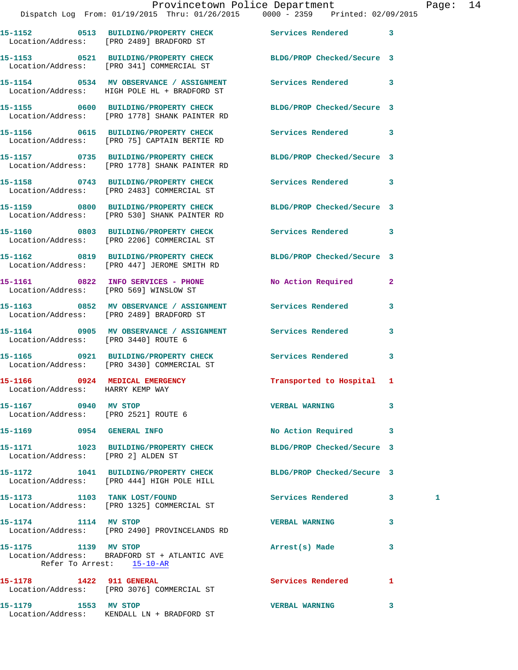|                                                                    | Provincetown Police Department Page: 14<br>Dispatch Log From: 01/19/2015 Thru: 01/26/2015 0000 - 2359 Printed: 02/09/2015 |                            |              |   |  |
|--------------------------------------------------------------------|---------------------------------------------------------------------------------------------------------------------------|----------------------------|--------------|---|--|
|                                                                    | 15-1152 0513 BUILDING/PROPERTY CHECK Services Rendered 3<br>Location/Address: [PRO 2489] BRADFORD ST                      |                            |              |   |  |
|                                                                    | 15-1153 0521 BUILDING/PROPERTY CHECK BLDG/PROP Checked/Secure 3<br>Location/Address: [PRO 341] COMMERCIAL ST              |                            |              |   |  |
|                                                                    | 15-1154 		 0534 MV OBSERVANCE / ASSIGNMENT Services Rendered 3<br>Location/Address: HIGH POLE HL + BRADFORD ST            |                            |              |   |  |
|                                                                    | 15-1155 0600 BUILDING/PROPERTY CHECK BLDG/PROP Checked/Secure 3<br>Location/Address: [PRO 1778] SHANK PAINTER RD          |                            |              |   |  |
|                                                                    |                                                                                                                           | Services Rendered 3        |              |   |  |
|                                                                    | 15-1157 0735 BUILDING/PROPERTY CHECK BLDG/PROP Checked/Secure 3<br>Location/Address: [PRO 1778] SHANK PAINTER RD          |                            |              |   |  |
|                                                                    | 15-1158 0743 BUILDING/PROPERTY CHECK Services Rendered 3<br>Location/Address: [PRO 2483] COMMERCIAL ST                    |                            |              |   |  |
|                                                                    | 15-1159 0800 BUILDING/PROPERTY CHECK BLDG/PROP Checked/Secure 3<br>Location/Address: [PRO 530] SHANK PAINTER RD           |                            |              |   |  |
|                                                                    | 15-1160 0803 BUILDING/PROPERTY CHECK Services Rendered 3<br>Location/Address: [PRO 2206] COMMERCIAL ST                    |                            |              |   |  |
|                                                                    | 15-1162 0819 BUILDING/PROPERTY CHECK BLDG/PROP Checked/Secure 3<br>Location/Address: [PRO 447] JEROME SMITH RD            |                            |              |   |  |
|                                                                    | 15-1161 0822 INFO SERVICES - PHONE No Action Required 2<br>Location/Address: [PRO 569] WINSLOW ST                         |                            |              |   |  |
|                                                                    | 15-1163 6852 MV OBSERVANCE / ASSIGNMENT Services Rendered<br>Location/Address: [PRO 2489] BRADFORD ST                     |                            | 3            |   |  |
| Location/Address: [PRO 3440] ROUTE 6                               | 15-1164 0905 MV OBSERVANCE / ASSIGNMENT Services Rendered 3                                                               |                            |              |   |  |
|                                                                    | 15-1165 0921 BUILDING/PROPERTY CHECK Services Rendered<br>Location/Address: [PRO 3430] COMMERCIAL ST                      |                            | $\mathbf{3}$ |   |  |
| 15-1166 0924 MEDICAL EMERGENCY<br>Location/Address: HARRY KEMP WAY |                                                                                                                           | Transported to Hospital 1  |              |   |  |
| 15-1167 0940 MV STOP<br>Location/Address: [PRO 2521] ROUTE 6       |                                                                                                                           | <b>VERBAL WARNING</b>      | 3            |   |  |
|                                                                    |                                                                                                                           | No Action Required 3       |              |   |  |
| Location/Address: [PRO 2] ALDEN ST                                 | 15-1171 1023 BUILDING/PROPERTY CHECK                                                                                      | BLDG/PROP Checked/Secure 3 |              |   |  |
|                                                                    | 15-1172 1041 BUILDING/PROPERTY CHECK<br>Location/Address: [PRO 444] HIGH POLE HILL                                        | BLDG/PROP Checked/Secure 3 |              |   |  |
| 15-1173 1103 TANK LOST/FOUND                                       | Location/Address: [PRO 1325] COMMERCIAL ST                                                                                | Services Rendered 3        |              | 1 |  |
| 15-1174 1114 MV STOP                                               | Location/Address: [PRO 2490] PROVINCELANDS RD                                                                             | <b>VERBAL WARNING</b>      | 3            |   |  |
| 15-1175 1139 MV STOP                                               | Location/Address: BRADFORD ST + ATLANTIC AVE<br>Refer To Arrest: 15-10-AR                                                 | Arrest(s) Made             | 3            |   |  |
| 15-1178 1422 911 GENERAL                                           | Location/Address: [PRO 3076] COMMERCIAL ST                                                                                | Services Rendered 1        |              |   |  |
|                                                                    |                                                                                                                           | <b>VERBAL WARNING</b>      | 3            |   |  |

Location/Address: KENDALL LN + BRADFORD ST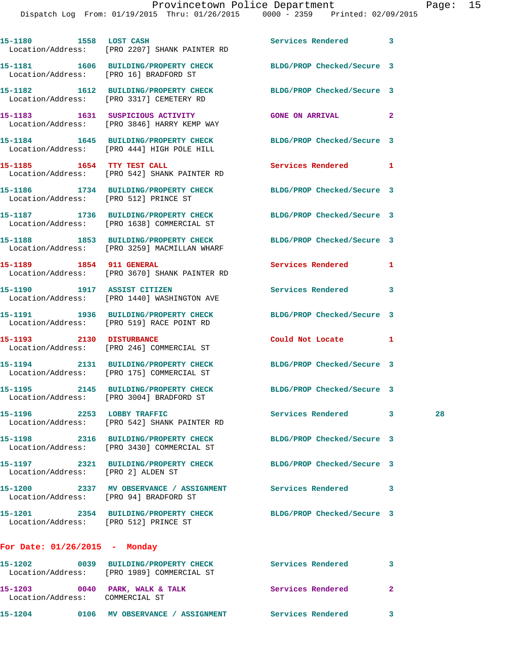|                                        | 15-1180 1558 LOST CASH<br>Location/Address: [PRO 2207] SHANK PAINTER RD                                         | Services Rendered 3        |   |    |
|----------------------------------------|-----------------------------------------------------------------------------------------------------------------|----------------------------|---|----|
| Location/Address: [PRO 16] BRADFORD ST | 15-1181 1606 BUILDING/PROPERTY CHECK                                                                            | BLDG/PROP Checked/Secure 3 |   |    |
|                                        | 15-1182 1612 BUILDING/PROPERTY CHECK<br>Location/Address: [PRO 3317] CEMETERY RD                                | BLDG/PROP Checked/Secure 3 |   |    |
|                                        | 15-1183    1631    SUSPICIOUS ACTIVITY<br>Location/Address: [PRO 3846] HARRY KEMP WAY                           | GONE ON ARRIVAL 2          |   |    |
|                                        | 15-1184 1645 BUILDING/PROPERTY CHECK<br>Location/Address: [PRO 444] HIGH POLE HILL                              | BLDG/PROP Checked/Secure 3 |   |    |
|                                        | 15-1185 1654 TTY TEST CALL<br>Location/Address: [PRO 542] SHANK PAINTER RD                                      | Services Rendered 1        |   |    |
| Location/Address: [PRO 512] PRINCE ST  | 15-1186 1734 BUILDING/PROPERTY CHECK BLDG/PROP Checked/Secure 3                                                 |                            |   |    |
|                                        | 15-1187 1736 BUILDING/PROPERTY CHECK BLDG/PROP Checked/Secure 3<br>Location/Address: [PRO 1638] COMMERCIAL ST   |                            |   |    |
|                                        | 15-1188 1853 BUILDING/PROPERTY CHECK BLDG/PROP Checked/Secure 3<br>Location/Address: [PRO 3259] MACMILLAN WHARF |                            |   |    |
| 15-1189 1854 911 GENERAL               | Location/Address: [PRO 3670] SHANK PAINTER RD                                                                   | Services Rendered          | 1 |    |
|                                        | 15-1190 1917 ASSIST CITIZEN<br>Location/Address: [PRO 1440] WASHINGTON AVE                                      | Services Rendered 3        |   |    |
|                                        | 15-1191 1936 BUILDING/PROPERTY CHECK<br>Location/Address: [PRO 519] RACE POINT RD                               | BLDG/PROP Checked/Secure 3 |   |    |
|                                        | 15-1193 2130 DISTURBANCE<br>Location/Address: [PRO 246] COMMERCIAL ST                                           | Could Not Locate 1         |   |    |
|                                        | 15-1194 2131 BUILDING/PROPERTY CHECK<br>Location/Address: [PRO 175] COMMERCIAL ST                               | BLDG/PROP Checked/Secure 3 |   |    |
|                                        | 15-1195 2145 BUILDING/PROPERTY CHECK<br>Location/Address: [PRO 3004] BRADFORD ST                                | BLDG/PROP Checked/Secure 3 |   |    |
| 15-1196 2253 LOBBY TRAFFIC             | Location/Address: [PRO 542] SHANK PAINTER RD                                                                    | Services Rendered 3        |   | 28 |
|                                        | 15-1198 2316 BUILDING/PROPERTY CHECK<br>Location/Address: [PRO 3430] COMMERCIAL ST                              | BLDG/PROP Checked/Secure 3 |   |    |
| Location/Address: [PRO 2] ALDEN ST     | 15-1197 2321 BUILDING/PROPERTY CHECK                                                                            | BLDG/PROP Checked/Secure 3 |   |    |
| Location/Address: [PRO 94] BRADFORD ST | 15-1200 2337 MV OBSERVANCE / ASSIGNMENT Services Rendered                                                       |                            | 3 |    |
| Location/Address: [PRO 512] PRINCE ST  | 15-1201 2354 BUILDING/PROPERTY CHECK BLDG/PROP Checked/Secure 3                                                 |                            |   |    |
| For Date: $01/26/2015$ - Monday        |                                                                                                                 |                            |   |    |
| 15-1202                                | 0039 BUILDING/PROPERTY CHECK Services Rendered 3<br>Location/Address: [PRO 1989] COMMERCIAL ST                  |                            |   |    |
|                                        |                                                                                                                 |                            |   |    |

- Location/Address: COMMERCIAL ST
- **15-1203 0040 PARK, WALK & TALK Services Rendered 2**
- **15-1204 0106 MV OBSERVANCE / ASSIGNMENT Services Rendered 3**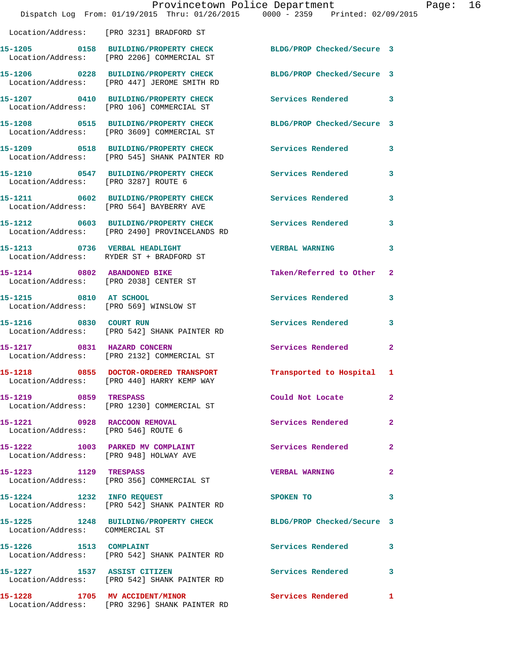|                                                                     | Provincetown Police Department<br>Dispatch Log From: 01/19/2015 Thru: 01/26/2015 0000 - 2359 Printed: 02/09/2015 |                            |              |
|---------------------------------------------------------------------|------------------------------------------------------------------------------------------------------------------|----------------------------|--------------|
|                                                                     | Location/Address: [PRO 3231] BRADFORD ST                                                                         |                            |              |
|                                                                     | 15-1205 0158 BUILDING/PROPERTY CHECK<br>Location/Address: [PRO 2206] COMMERCIAL ST                               | BLDG/PROP Checked/Secure 3 |              |
|                                                                     | 15-1206 0228 BUILDING/PROPERTY CHECK<br>Location/Address: [PRO 447] JEROME SMITH RD                              | BLDG/PROP Checked/Secure 3 |              |
|                                                                     | 15-1207 0410 BUILDING/PROPERTY CHECK<br>Location/Address: [PRO 106] COMMERCIAL ST                                | <b>Services Rendered</b>   | 3            |
|                                                                     | 15-1208 0515 BUILDING/PROPERTY CHECK<br>Location/Address: [PRO 3609] COMMERCIAL ST                               | BLDG/PROP Checked/Secure 3 |              |
|                                                                     | 15-1209 0518 BUILDING/PROPERTY CHECK<br>Location/Address: [PRO 545] SHANK PAINTER RD                             | Services Rendered          | 3            |
| Location/Address: [PRO 3287] ROUTE 6                                | 15-1210 0547 BUILDING/PROPERTY CHECK                                                                             | <b>Services Rendered</b>   | 3            |
|                                                                     | 15-1211 0602 BUILDING/PROPERTY CHECK<br>Location/Address: [PRO 564] BAYBERRY AVE                                 | <b>Services Rendered</b>   | 3            |
|                                                                     | 15-1212 0603 BUILDING/PROPERTY CHECK<br>Location/Address: [PRO 2490] PROVINCELANDS RD                            | <b>Services Rendered</b>   | 3            |
|                                                                     | 15-1213 0736 VERBAL HEADLIGHT<br>Location/Address: RYDER ST + BRADFORD ST                                        | <b>VERBAL WARNING</b>      | 3            |
| Location/Address: [PRO 2038] CENTER ST                              | 15-1214 0802 ABANDONED BIKE                                                                                      | Taken/Referred to Other    | $\mathbf{2}$ |
| 15-1215 0810 AT SCHOOL                                              | Location/Address: [PRO 569] WINSLOW ST                                                                           | Services Rendered          | 3            |
| 15-1216 0830 COURT RUN                                              | Location/Address: [PRO 542] SHANK PAINTER RD                                                                     | Services Rendered          | 3            |
| 15-1217 0831 HAZARD CONCERN                                         | Location/Address: [PRO 2132] COMMERCIAL ST                                                                       | Services Rendered          | $\mathbf{2}$ |
|                                                                     | 15-1218 0855 DOCTOR-ORDERED TRANSPORT<br>Location/Address: [PRO 440] HARRY KEMP WAY                              | Transported to Hospital    | 1            |
| 15-1219 0859 TRESPASS                                               | Location/Address: [PRO 1230] COMMERCIAL ST                                                                       | Could Not Locate           | $\mathbf{2}$ |
| 15-1221 0928 RACCOON REMOVAL<br>Location/Address: [PRO 546] ROUTE 6 |                                                                                                                  | Services Rendered          | 2            |
|                                                                     | 15-1222 1003 PARKED MV COMPLAINT<br>Location/Address: [PRO 948] HOLWAY AVE                                       | Services Rendered          | 2            |
| 15-1223 1129 TRESPASS                                               | Location/Address: [PRO 356] COMMERCIAL ST                                                                        | <b>VERBAL WARNING</b>      | 2            |
| 15-1224 1232 INFO REQUEST                                           | Location/Address: [PRO 542] SHANK PAINTER RD                                                                     | SPOKEN TO                  | 3            |
| Location/Address: COMMERCIAL ST                                     | 15-1225 1248 BUILDING/PROPERTY CHECK BLDG/PROP Checked/Secure 3                                                  |                            |              |
| 15-1226 1513 COMPLAINT                                              | Location/Address: [PRO 542] SHANK PAINTER RD                                                                     | Services Rendered          | 3            |
|                                                                     | 15-1227 1537 ASSIST CITIZEN<br>Location/Address: [PRO 542] SHANK PAINTER RD                                      | <b>Services Rendered</b>   | 3            |
| 15-1228 1705 MV ACCIDENT/MINOR                                      | Location/Address: [PRO 3296] SHANK PAINTER RD                                                                    | Services Rendered          | 1            |

Page: 16